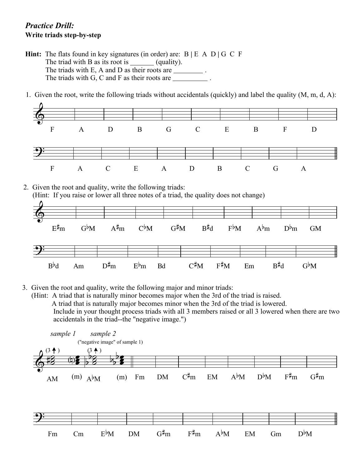## *Practice Drill:* **Write triads step-by-step**

- **Hint:** The flats found in key signatures (in order) are: B **|** E A D **|** G C F The triad with B as its root is  $\_\_\_\_\_$ (quality). The triads with E, A and D as their roots are \_\_\_\_\_\_\_\_\_\_. The triads with G, C and F as their roots are \_\_\_\_\_\_\_\_\_\_.
- 1. Given the root, write the following triads without accidentals (quickly) and label the quality (M, m, d, A):



- 3. Given the root and quality, write the following major and minor triads:
	- (Hint: A triad that is naturally minor becomes major when the 3rd of the triad is raised. A triad that is naturally major becomes minor when the 3rd of the triad is lowered. Include in your thought process triads with all 3 members raised or all 3 lowered when there are two accidentals in the triad--the "negative image.")